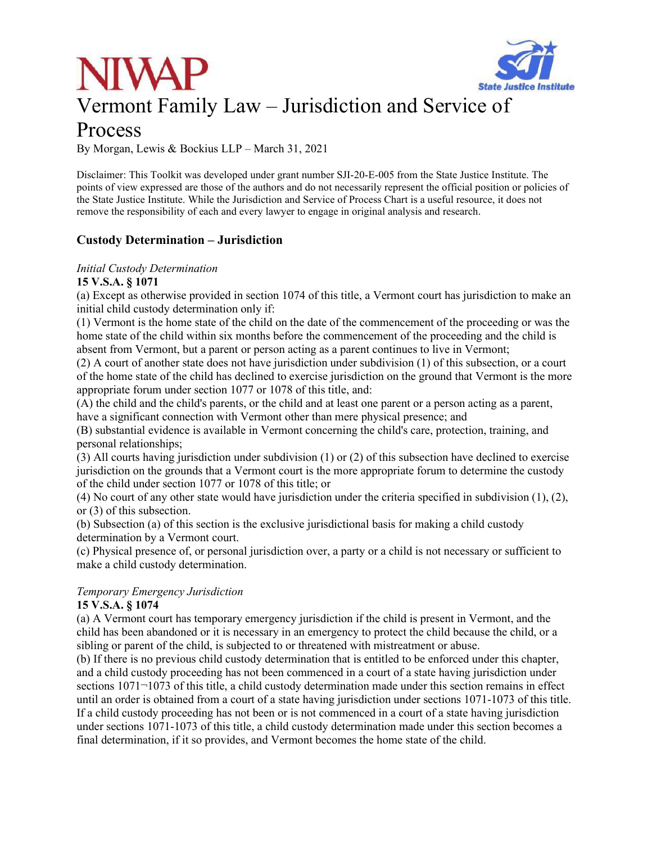# Vermont Family Law – Jurisdiction and Service of



### Process

By Morgan, Lewis & Bockius LLP – March 31, 2021

Disclaimer: This Toolkit was developed under grant number SJI-20-E-005 from the State Justice Institute. The points of view expressed are those of the authors and do not necessarily represent the official position or policies of the State Justice Institute. While the Jurisdiction and Service of Process Chart is a useful resource, it does not remove the responsibility of each and every lawyer to engage in original analysis and research.

### **Custody Determination – Jurisdiction**

#### *Initial Custody Determination*

#### **15 V.S.A. § 1071**

(a) Except as otherwise provided in section 1074 of this title, a Vermont court has jurisdiction to make an initial child custody determination only if:

(1) Vermont is the home state of the child on the date of the commencement of the proceeding or was the home state of the child within six months before the commencement of the proceeding and the child is absent from Vermont, but a parent or person acting as a parent continues to live in Vermont;

(2) A court of another state does not have jurisdiction under subdivision (1) of this subsection, or a court of the home state of the child has declined to exercise jurisdiction on the ground that Vermont is the more appropriate forum under section 1077 or 1078 of this title, and:

(A) the child and the child's parents, or the child and at least one parent or a person acting as a parent, have a significant connection with Vermont other than mere physical presence; and

(B) substantial evidence is available in Vermont concerning the child's care, protection, training, and personal relationships;

(3) All courts having jurisdiction under subdivision (1) or (2) of this subsection have declined to exercise jurisdiction on the grounds that a Vermont court is the more appropriate forum to determine the custody of the child under section 1077 or 1078 of this title; or

(4) No court of any other state would have jurisdiction under the criteria specified in subdivision (1), (2), or (3) of this subsection.

(b) Subsection (a) of this section is the exclusive jurisdictional basis for making a child custody determination by a Vermont court.

(c) Physical presence of, or personal jurisdiction over, a party or a child is not necessary or sufficient to make a child custody determination.

### *Temporary Emergency Jurisdiction*

#### **15 V.S.A. § 1074**

(a) A Vermont court has temporary emergency jurisdiction if the child is present in Vermont, and the child has been abandoned or it is necessary in an emergency to protect the child because the child, or a sibling or parent of the child, is subjected to or threatened with mistreatment or abuse.

(b) If there is no previous child custody determination that is entitled to be enforced under this chapter, and a child custody proceeding has not been commenced in a court of a state having jurisdiction under sections 1071 $\neg$ 1073 of this title, a child custody determination made under this section remains in effect until an order is obtained from a court of a state having jurisdiction under sections 1071-1073 of this title. If a child custody proceeding has not been or is not commenced in a court of a state having jurisdiction under sections 1071-1073 of this title, a child custody determination made under this section becomes a final determination, if it so provides, and Vermont becomes the home state of the child.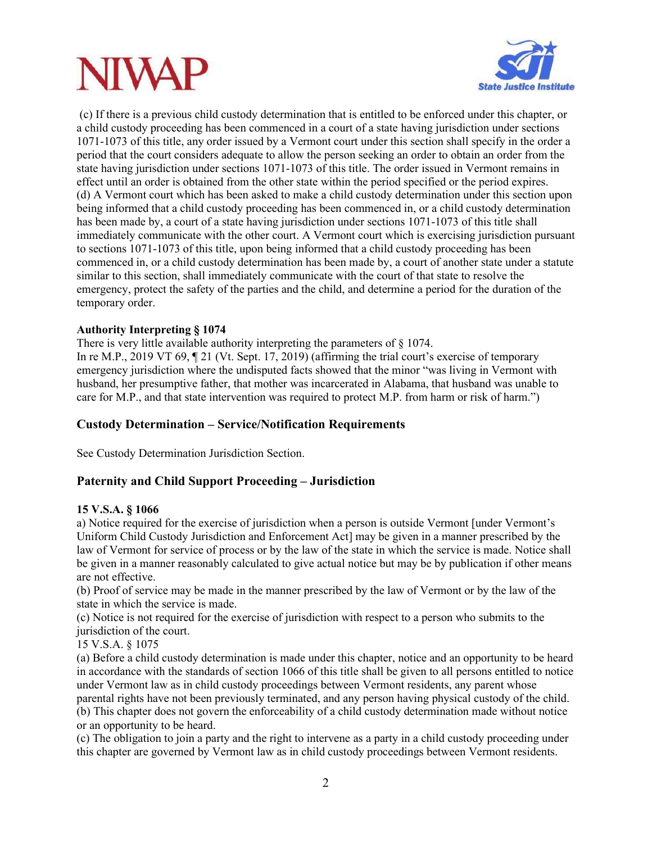

 (c) If there is a previous child custody determination that is entitled to be enforced under this chapter, or a child custody proceeding has been commenced in a court of a state having jurisdiction under sections 1071-1073 of this title, any order issued by a Vermont court under this section shall specify in the order a period that the court considers adequate to allow the person seeking an order to obtain an order from the state having jurisdiction under sections 1071-1073 of this title. The order issued in Vermont remains in effect until an order is obtained from the other state within the period specified or the period expires. (d) A Vermont court which has been asked to make a child custody determination under this section upon being informed that a child custody proceeding has been commenced in, or a child custody determination has been made by, a court of a state having jurisdiction under sections 1071-1073 of this title shall immediately communicate with the other court. A Vermont court which is exercising jurisdiction pursuant to sections 1071-1073 of this title, upon being informed that a child custody proceeding has been commenced in, or a child custody determination has been made by, a court of another state under a statute similar to this section, shall immediately communicate with the court of that state to resolve the emergency, protect the safety of the parties and the child, and determine a period for the duration of the temporary order.

#### **Authority Interpreting § 1074**

There is very little available authority interpreting the parameters of  $\S 1074$ . In re M.P., 2019 VT 69,  $\parallel$  21 (Vt. Sept. 17, 2019) (affirming the trial court's exercise of temporary emergency jurisdiction where the undisputed facts showed that the minor "was living in Vermont with husband, her presumptive father, that mother was incarcerated in Alabama, that husband was unable to care for M.P., and that state intervention was required to protect M.P. from harm or risk of harm.")

#### **Custody Determination – Service/Notification Requirements**

See Custody Determination Jurisdiction Section.

#### **Paternity and Child Support Proceeding – Jurisdiction**

#### **15 V.S.A. § 1066**

a) Notice required for the exercise of jurisdiction when a person is outside Vermont [under Vermont's Uniform Child Custody Jurisdiction and Enforcement Act] may be given in a manner prescribed by the law of Vermont for service of process or by the law of the state in which the service is made. Notice shall be given in a manner reasonably calculated to give actual notice but may be by publication if other means are not effective.

(b) Proof of service may be made in the manner prescribed by the law of Vermont or by the law of the state in which the service is made.

(c) Notice is not required for the exercise of jurisdiction with respect to a person who submits to the jurisdiction of the court.

15 V.S.A. § 1075

(a) Before a child custody determination is made under this chapter, notice and an opportunity to be heard in accordance with the standards of section 1066 of this title shall be given to all persons entitled to notice under Vermont law as in child custody proceedings between Vermont residents, any parent whose parental rights have not been previously terminated, and any person having physical custody of the child. (b) This chapter does not govern the enforceability of a child custody determination made without notice or an opportunity to be heard.

(c) The obligation to join a party and the right to intervene as a party in a child custody proceeding under this chapter are governed by Vermont law as in child custody proceedings between Vermont residents.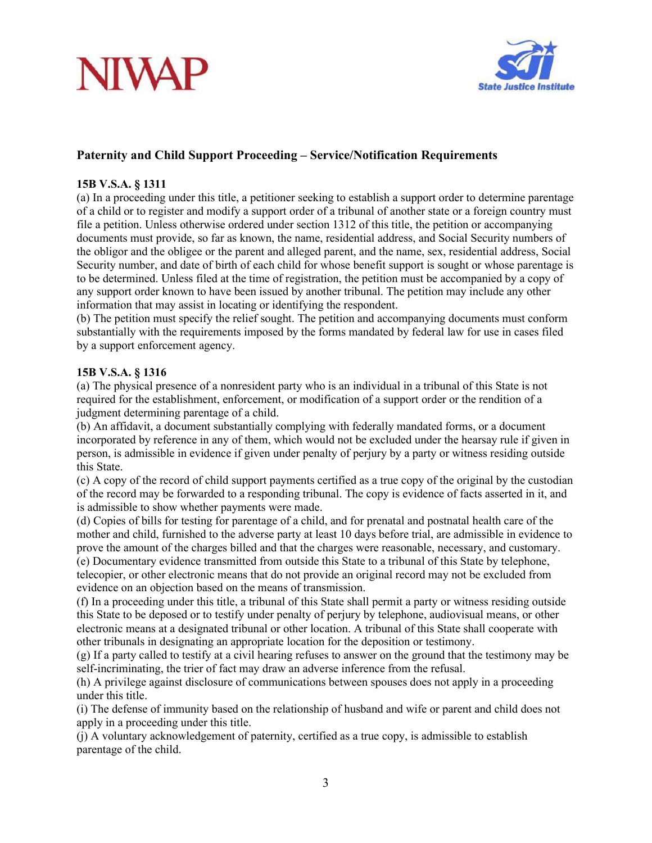## **NIVAP**



### **Paternity and Child Support Proceeding – Service/Notification Requirements**

#### **15B V.S.A. § 1311**

(a) In a proceeding under this title, a petitioner seeking to establish a support order to determine parentage of a child or to register and modify a support order of a tribunal of another state or a foreign country must file a petition. Unless otherwise ordered under section 1312 of this title, the petition or accompanying documents must provide, so far as known, the name, residential address, and Social Security numbers of the obligor and the obligee or the parent and alleged parent, and the name, sex, residential address, Social Security number, and date of birth of each child for whose benefit support is sought or whose parentage is to be determined. Unless filed at the time of registration, the petition must be accompanied by a copy of any support order known to have been issued by another tribunal. The petition may include any other information that may assist in locating or identifying the respondent.

(b) The petition must specify the relief sought. The petition and accompanying documents must conform substantially with the requirements imposed by the forms mandated by federal law for use in cases filed by a support enforcement agency.

#### **15B V.S.A. § 1316**

(a) The physical presence of a nonresident party who is an individual in a tribunal of this State is not required for the establishment, enforcement, or modification of a support order or the rendition of a judgment determining parentage of a child.

(b) An affidavit, a document substantially complying with federally mandated forms, or a document incorporated by reference in any of them, which would not be excluded under the hearsay rule if given in person, is admissible in evidence if given under penalty of perjury by a party or witness residing outside this State.

(c) A copy of the record of child support payments certified as a true copy of the original by the custodian of the record may be forwarded to a responding tribunal. The copy is evidence of facts asserted in it, and is admissible to show whether payments were made.

(d) Copies of bills for testing for parentage of a child, and for prenatal and postnatal health care of the mother and child, furnished to the adverse party at least 10 days before trial, are admissible in evidence to prove the amount of the charges billed and that the charges were reasonable, necessary, and customary. (e) Documentary evidence transmitted from outside this State to a tribunal of this State by telephone, telecopier, or other electronic means that do not provide an original record may not be excluded from evidence on an objection based on the means of transmission.

(f) In a proceeding under this title, a tribunal of this State shall permit a party or witness residing outside this State to be deposed or to testify under penalty of perjury by telephone, audiovisual means, or other electronic means at a designated tribunal or other location. A tribunal of this State shall cooperate with other tribunals in designating an appropriate location for the deposition or testimony.

(g) If a party called to testify at a civil hearing refuses to answer on the ground that the testimony may be self-incriminating, the trier of fact may draw an adverse inference from the refusal.

(h) A privilege against disclosure of communications between spouses does not apply in a proceeding under this title.

(i) The defense of immunity based on the relationship of husband and wife or parent and child does not apply in a proceeding under this title.

(j) A voluntary acknowledgement of paternity, certified as a true copy, is admissible to establish parentage of the child.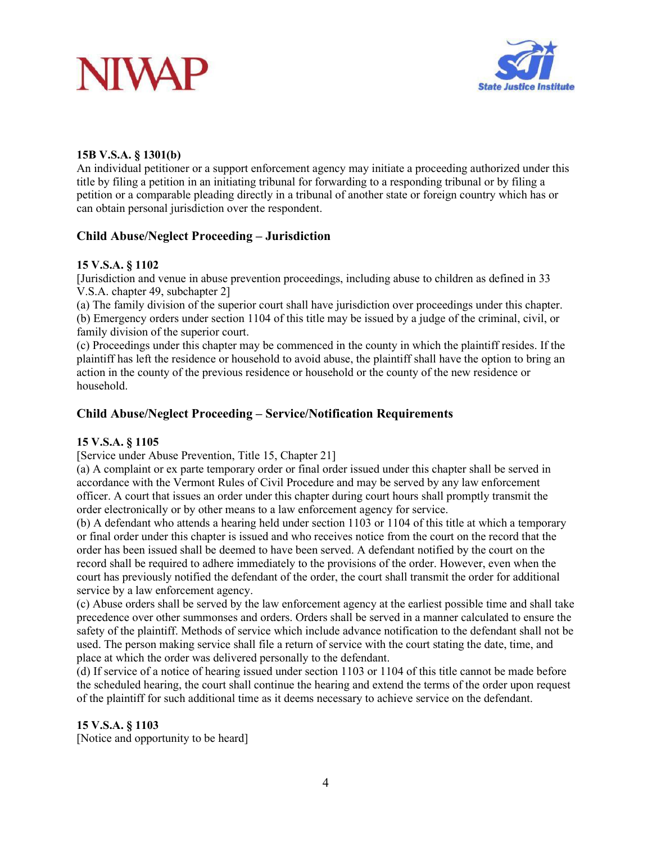



#### **15B V.S.A. § 1301(b)**

An individual petitioner or a support enforcement agency may initiate a proceeding authorized under this title by filing a petition in an initiating tribunal for forwarding to a responding tribunal or by filing a petition or a comparable pleading directly in a tribunal of another state or foreign country which has or can obtain personal jurisdiction over the respondent.

#### **Child Abuse/Neglect Proceeding – Jurisdiction**

#### **15 V.S.A. § 1102**

[Jurisdiction and venue in abuse prevention proceedings, including abuse to children as defined in 33 V.S.A. chapter 49, subchapter 2]

(a) The family division of the superior court shall have jurisdiction over proceedings under this chapter. (b) Emergency orders under section 1104 of this title may be issued by a judge of the criminal, civil, or family division of the superior court.

(c) Proceedings under this chapter may be commenced in the county in which the plaintiff resides. If the plaintiff has left the residence or household to avoid abuse, the plaintiff shall have the option to bring an action in the county of the previous residence or household or the county of the new residence or household.

#### **Child Abuse/Neglect Proceeding – Service/Notification Requirements**

#### **15 V.S.A. § 1105**

[Service under Abuse Prevention, Title 15, Chapter 21]

(a) A complaint or ex parte temporary order or final order issued under this chapter shall be served in accordance with the Vermont Rules of Civil Procedure and may be served by any law enforcement officer. A court that issues an order under this chapter during court hours shall promptly transmit the order electronically or by other means to a law enforcement agency for service.

(b) A defendant who attends a hearing held under section 1103 or 1104 of this title at which a temporary or final order under this chapter is issued and who receives notice from the court on the record that the order has been issued shall be deemed to have been served. A defendant notified by the court on the record shall be required to adhere immediately to the provisions of the order. However, even when the court has previously notified the defendant of the order, the court shall transmit the order for additional service by a law enforcement agency.

(c) Abuse orders shall be served by the law enforcement agency at the earliest possible time and shall take precedence over other summonses and orders. Orders shall be served in a manner calculated to ensure the safety of the plaintiff. Methods of service which include advance notification to the defendant shall not be used. The person making service shall file a return of service with the court stating the date, time, and place at which the order was delivered personally to the defendant.

(d) If service of a notice of hearing issued under section 1103 or 1104 of this title cannot be made before the scheduled hearing, the court shall continue the hearing and extend the terms of the order upon request of the plaintiff for such additional time as it deems necessary to achieve service on the defendant.

#### **15 V.S.A. § 1103**

[Notice and opportunity to be heard]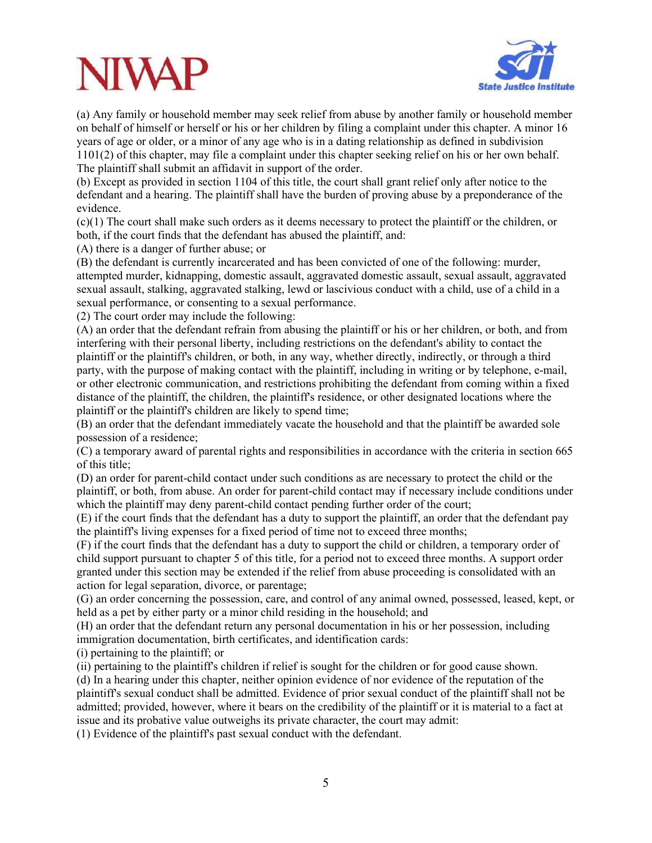## VIVA



(a) Any family or household member may seek relief from abuse by another family or household member on behalf of himself or herself or his or her children by filing a complaint under this chapter. A minor 16 years of age or older, or a minor of any age who is in a dating relationship as defined in subdivision 1101(2) of this chapter, may file a complaint under this chapter seeking relief on his or her own behalf. The plaintiff shall submit an affidavit in support of the order.

(b) Except as provided in section 1104 of this title, the court shall grant relief only after notice to the defendant and a hearing. The plaintiff shall have the burden of proving abuse by a preponderance of the evidence.

(c)(1) The court shall make such orders as it deems necessary to protect the plaintiff or the children, or both, if the court finds that the defendant has abused the plaintiff, and:

(A) there is a danger of further abuse; or

(B) the defendant is currently incarcerated and has been convicted of one of the following: murder, attempted murder, kidnapping, domestic assault, aggravated domestic assault, sexual assault, aggravated sexual assault, stalking, aggravated stalking, lewd or lascivious conduct with a child, use of a child in a sexual performance, or consenting to a sexual performance.

(2) The court order may include the following:

(A) an order that the defendant refrain from abusing the plaintiff or his or her children, or both, and from interfering with their personal liberty, including restrictions on the defendant's ability to contact the plaintiff or the plaintiff's children, or both, in any way, whether directly, indirectly, or through a third party, with the purpose of making contact with the plaintiff, including in writing or by telephone, e-mail, or other electronic communication, and restrictions prohibiting the defendant from coming within a fixed distance of the plaintiff, the children, the plaintiff's residence, or other designated locations where the plaintiff or the plaintiff's children are likely to spend time;

(B) an order that the defendant immediately vacate the household and that the plaintiff be awarded sole possession of a residence;

(C) a temporary award of parental rights and responsibilities in accordance with the criteria in section 665 of this title;

(D) an order for parent-child contact under such conditions as are necessary to protect the child or the plaintiff, or both, from abuse. An order for parent-child contact may if necessary include conditions under which the plaintiff may deny parent-child contact pending further order of the court;

(E) if the court finds that the defendant has a duty to support the plaintiff, an order that the defendant pay the plaintiff's living expenses for a fixed period of time not to exceed three months;

(F) if the court finds that the defendant has a duty to support the child or children, a temporary order of child support pursuant to chapter 5 of this title, for a period not to exceed three months. A support order granted under this section may be extended if the relief from abuse proceeding is consolidated with an action for legal separation, divorce, or parentage;

(G) an order concerning the possession, care, and control of any animal owned, possessed, leased, kept, or held as a pet by either party or a minor child residing in the household; and

(H) an order that the defendant return any personal documentation in his or her possession, including immigration documentation, birth certificates, and identification cards:

(i) pertaining to the plaintiff; or

(ii) pertaining to the plaintiff's children if relief is sought for the children or for good cause shown.

(d) In a hearing under this chapter, neither opinion evidence of nor evidence of the reputation of the plaintiff's sexual conduct shall be admitted. Evidence of prior sexual conduct of the plaintiff shall not be admitted; provided, however, where it bears on the credibility of the plaintiff or it is material to a fact at issue and its probative value outweighs its private character, the court may admit:

(1) Evidence of the plaintiff's past sexual conduct with the defendant.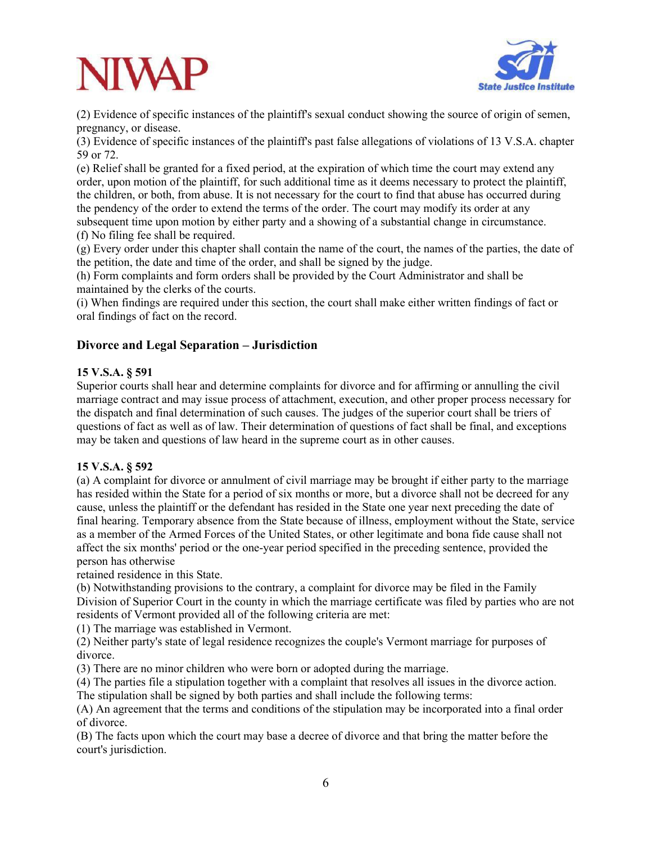

(2) Evidence of specific instances of the plaintiff's sexual conduct showing the source of origin of semen, pregnancy, or disease.

(3) Evidence of specific instances of the plaintiff's past false allegations of violations of 13 V.S.A. chapter 59 or 72.

(e) Relief shall be granted for a fixed period, at the expiration of which time the court may extend any order, upon motion of the plaintiff, for such additional time as it deems necessary to protect the plaintiff, the children, or both, from abuse. It is not necessary for the court to find that abuse has occurred during the pendency of the order to extend the terms of the order. The court may modify its order at any subsequent time upon motion by either party and a showing of a substantial change in circumstance.

(f) No filing fee shall be required.

(g) Every order under this chapter shall contain the name of the court, the names of the parties, the date of the petition, the date and time of the order, and shall be signed by the judge.

(h) Form complaints and form orders shall be provided by the Court Administrator and shall be maintained by the clerks of the courts.

(i) When findings are required under this section, the court shall make either written findings of fact or oral findings of fact on the record.

#### **Divorce and Legal Separation – Jurisdiction**

#### **15 V.S.A. § 591**

Superior courts shall hear and determine complaints for divorce and for affirming or annulling the civil marriage contract and may issue process of attachment, execution, and other proper process necessary for the dispatch and final determination of such causes. The judges of the superior court shall be triers of questions of fact as well as of law. Their determination of questions of fact shall be final, and exceptions may be taken and questions of law heard in the supreme court as in other causes.

#### **15 V.S.A. § 592**

(a) A complaint for divorce or annulment of civil marriage may be brought if either party to the marriage has resided within the State for a period of six months or more, but a divorce shall not be decreed for any cause, unless the plaintiff or the defendant has resided in the State one year next preceding the date of final hearing. Temporary absence from the State because of illness, employment without the State, service as a member of the Armed Forces of the United States, or other legitimate and bona fide cause shall not affect the six months' period or the one-year period specified in the preceding sentence, provided the person has otherwise

retained residence in this State.

(b) Notwithstanding provisions to the contrary, a complaint for divorce may be filed in the Family Division of Superior Court in the county in which the marriage certificate was filed by parties who are not residents of Vermont provided all of the following criteria are met:

(1) The marriage was established in Vermont.

(2) Neither party's state of legal residence recognizes the couple's Vermont marriage for purposes of divorce.

(3) There are no minor children who were born or adopted during the marriage.

(4) The parties file a stipulation together with a complaint that resolves all issues in the divorce action. The stipulation shall be signed by both parties and shall include the following terms:

(A) An agreement that the terms and conditions of the stipulation may be incorporated into a final order of divorce.

(B) The facts upon which the court may base a decree of divorce and that bring the matter before the court's jurisdiction.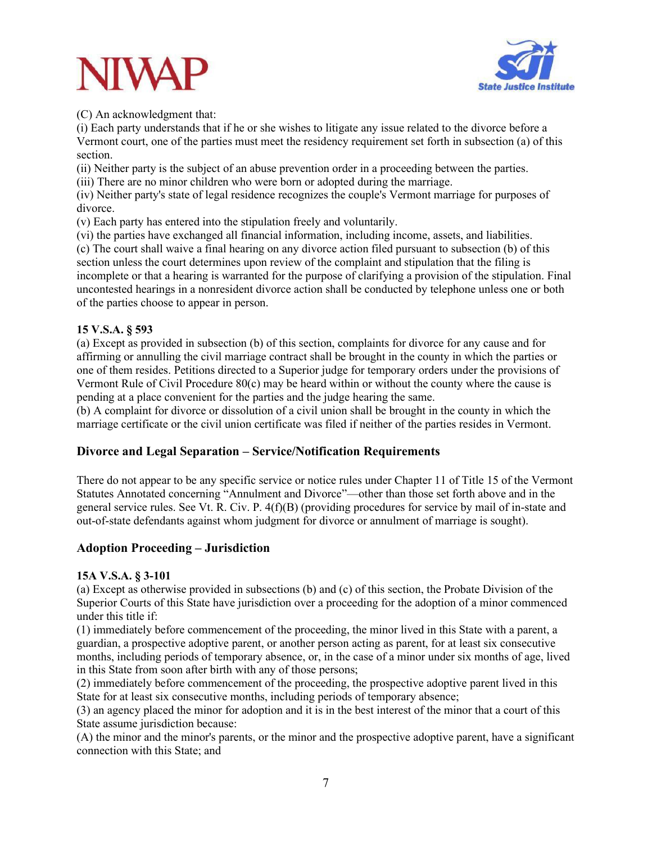



(C) An acknowledgment that:

(i) Each party understands that if he or she wishes to litigate any issue related to the divorce before a Vermont court, one of the parties must meet the residency requirement set forth in subsection (a) of this section.

(ii) Neither party is the subject of an abuse prevention order in a proceeding between the parties. (iii) There are no minor children who were born or adopted during the marriage.

(iv) Neither party's state of legal residence recognizes the couple's Vermont marriage for purposes of divorce.

(v) Each party has entered into the stipulation freely and voluntarily.

(vi) the parties have exchanged all financial information, including income, assets, and liabilities.

(c) The court shall waive a final hearing on any divorce action filed pursuant to subsection (b) of this section unless the court determines upon review of the complaint and stipulation that the filing is incomplete or that a hearing is warranted for the purpose of clarifying a provision of the stipulation. Final uncontested hearings in a nonresident divorce action shall be conducted by telephone unless one or both of the parties choose to appear in person.

#### **15 V.S.A. § 593**

(a) Except as provided in subsection (b) of this section, complaints for divorce for any cause and for affirming or annulling the civil marriage contract shall be brought in the county in which the parties or one of them resides. Petitions directed to a Superior judge for temporary orders under the provisions of Vermont Rule of Civil Procedure 80(c) may be heard within or without the county where the cause is pending at a place convenient for the parties and the judge hearing the same.

(b) A complaint for divorce or dissolution of a civil union shall be brought in the county in which the marriage certificate or the civil union certificate was filed if neither of the parties resides in Vermont.

#### **Divorce and Legal Separation – Service/Notification Requirements**

There do not appear to be any specific service or notice rules under Chapter 11 of Title 15 of the Vermont Statutes Annotated concerning "Annulment and Divorce"—other than those set forth above and in the general service rules. See Vt. R. Civ. P. 4(f)(B) (providing procedures for service by mail of in-state and out-of-state defendants against whom judgment for divorce or annulment of marriage is sought).

#### **Adoption Proceeding – Jurisdiction**

#### **15A V.S.A. § 3-101**

(a) Except as otherwise provided in subsections (b) and (c) of this section, the Probate Division of the Superior Courts of this State have jurisdiction over a proceeding for the adoption of a minor commenced under this title if:

(1) immediately before commencement of the proceeding, the minor lived in this State with a parent, a guardian, a prospective adoptive parent, or another person acting as parent, for at least six consecutive months, including periods of temporary absence, or, in the case of a minor under six months of age, lived in this State from soon after birth with any of those persons;

(2) immediately before commencement of the proceeding, the prospective adoptive parent lived in this State for at least six consecutive months, including periods of temporary absence;

(3) an agency placed the minor for adoption and it is in the best interest of the minor that a court of this State assume jurisdiction because:

(A) the minor and the minor's parents, or the minor and the prospective adoptive parent, have a significant connection with this State; and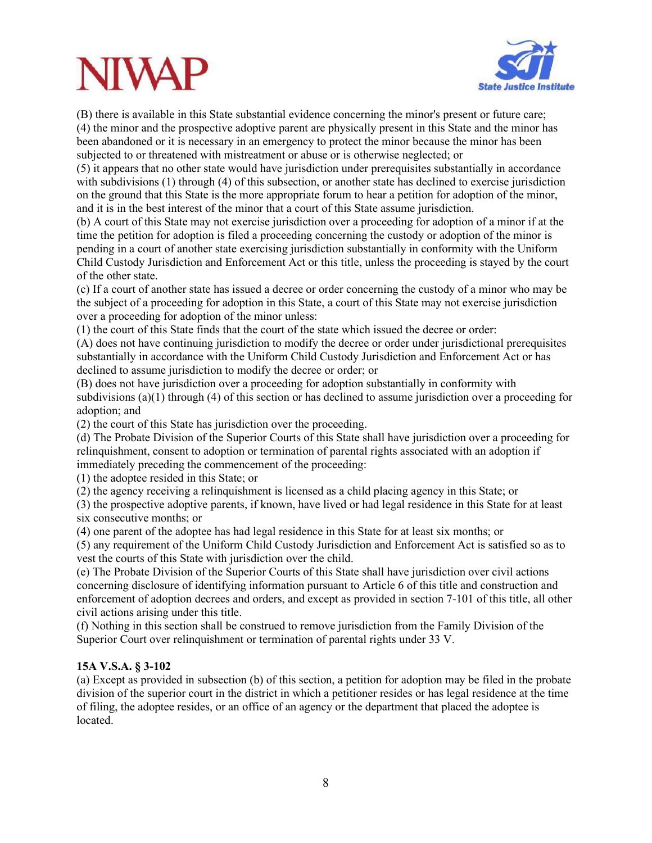## **JIWA**



(B) there is available in this State substantial evidence concerning the minor's present or future care; (4) the minor and the prospective adoptive parent are physically present in this State and the minor has been abandoned or it is necessary in an emergency to protect the minor because the minor has been subjected to or threatened with mistreatment or abuse or is otherwise neglected; or

(5) it appears that no other state would have jurisdiction under prerequisites substantially in accordance with subdivisions (1) through (4) of this subsection, or another state has declined to exercise jurisdiction on the ground that this State is the more appropriate forum to hear a petition for adoption of the minor, and it is in the best interest of the minor that a court of this State assume jurisdiction.

(b) A court of this State may not exercise jurisdiction over a proceeding for adoption of a minor if at the time the petition for adoption is filed a proceeding concerning the custody or adoption of the minor is pending in a court of another state exercising jurisdiction substantially in conformity with the Uniform Child Custody Jurisdiction and Enforcement Act or this title, unless the proceeding is stayed by the court of the other state.

(c) If a court of another state has issued a decree or order concerning the custody of a minor who may be the subject of a proceeding for adoption in this State, a court of this State may not exercise jurisdiction over a proceeding for adoption of the minor unless:

(1) the court of this State finds that the court of the state which issued the decree or order:

(A) does not have continuing jurisdiction to modify the decree or order under jurisdictional prerequisites substantially in accordance with the Uniform Child Custody Jurisdiction and Enforcement Act or has declined to assume jurisdiction to modify the decree or order; or

(B) does not have jurisdiction over a proceeding for adoption substantially in conformity with subdivisions (a)(1) through (4) of this section or has declined to assume jurisdiction over a proceeding for adoption; and

(2) the court of this State has jurisdiction over the proceeding.

(d) The Probate Division of the Superior Courts of this State shall have jurisdiction over a proceeding for relinquishment, consent to adoption or termination of parental rights associated with an adoption if immediately preceding the commencement of the proceeding:

(1) the adoptee resided in this State; or

(2) the agency receiving a relinquishment is licensed as a child placing agency in this State; or

(3) the prospective adoptive parents, if known, have lived or had legal residence in this State for at least six consecutive months; or

(4) one parent of the adoptee has had legal residence in this State for at least six months; or

(5) any requirement of the Uniform Child Custody Jurisdiction and Enforcement Act is satisfied so as to vest the courts of this State with jurisdiction over the child.

(e) The Probate Division of the Superior Courts of this State shall have jurisdiction over civil actions concerning disclosure of identifying information pursuant to Article 6 of this title and construction and enforcement of adoption decrees and orders, and except as provided in section 7-101 of this title, all other civil actions arising under this title.

(f) Nothing in this section shall be construed to remove jurisdiction from the Family Division of the Superior Court over relinquishment or termination of parental rights under 33 V.

#### **15A V.S.A. § 3-102**

(a) Except as provided in subsection (b) of this section, a petition for adoption may be filed in the probate division of the superior court in the district in which a petitioner resides or has legal residence at the time of filing, the adoptee resides, or an office of an agency or the department that placed the adoptee is located.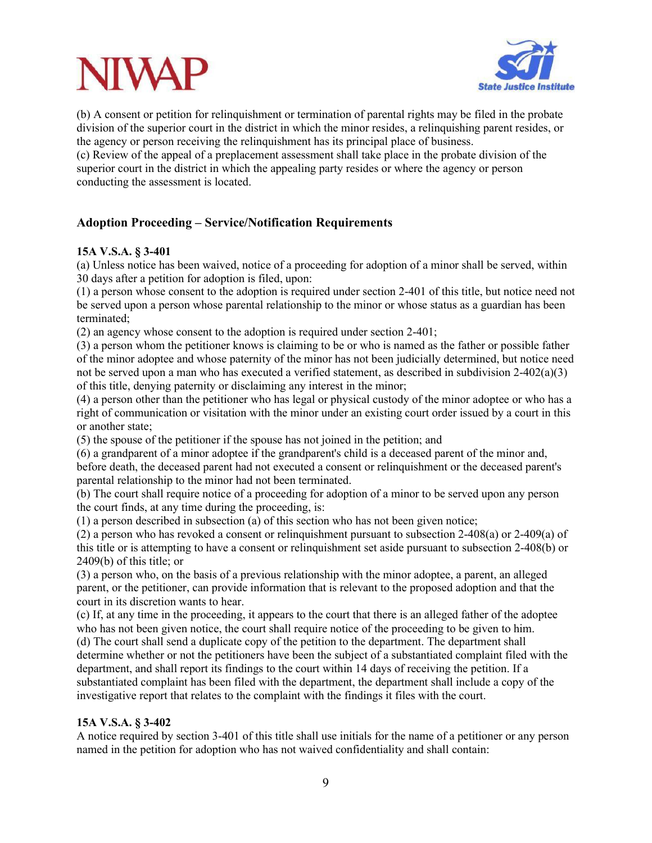

(b) A consent or petition for relinquishment or termination of parental rights may be filed in the probate division of the superior court in the district in which the minor resides, a relinquishing parent resides, or the agency or person receiving the relinquishment has its principal place of business.

(c) Review of the appeal of a preplacement assessment shall take place in the probate division of the superior court in the district in which the appealing party resides or where the agency or person conducting the assessment is located.

### **Adoption Proceeding – Service/Notification Requirements**

#### **15A V.S.A. § 3-401**

(a) Unless notice has been waived, notice of a proceeding for adoption of a minor shall be served, within 30 days after a petition for adoption is filed, upon:

(1) a person whose consent to the adoption is required under section 2-401 of this title, but notice need not be served upon a person whose parental relationship to the minor or whose status as a guardian has been terminated;

(2) an agency whose consent to the adoption is required under section 2-401;

(3) a person whom the petitioner knows is claiming to be or who is named as the father or possible father of the minor adoptee and whose paternity of the minor has not been judicially determined, but notice need not be served upon a man who has executed a verified statement, as described in subdivision  $2-402(a)(3)$ of this title, denying paternity or disclaiming any interest in the minor;

(4) a person other than the petitioner who has legal or physical custody of the minor adoptee or who has a right of communication or visitation with the minor under an existing court order issued by a court in this or another state;

(5) the spouse of the petitioner if the spouse has not joined in the petition; and

(6) a grandparent of a minor adoptee if the grandparent's child is a deceased parent of the minor and, before death, the deceased parent had not executed a consent or relinquishment or the deceased parent's parental relationship to the minor had not been terminated.

(b) The court shall require notice of a proceeding for adoption of a minor to be served upon any person the court finds, at any time during the proceeding, is:

(1) a person described in subsection (a) of this section who has not been given notice;

(2) a person who has revoked a consent or relinquishment pursuant to subsection 2-408(a) or 2-409(a) of this title or is attempting to have a consent or relinquishment set aside pursuant to subsection 2-408(b) or 2409(b) of this title; or

(3) a person who, on the basis of a previous relationship with the minor adoptee, a parent, an alleged parent, or the petitioner, can provide information that is relevant to the proposed adoption and that the court in its discretion wants to hear.

(c) If, at any time in the proceeding, it appears to the court that there is an alleged father of the adoptee who has not been given notice, the court shall require notice of the proceeding to be given to him.

(d) The court shall send a duplicate copy of the petition to the department. The department shall determine whether or not the petitioners have been the subject of a substantiated complaint filed with the department, and shall report its findings to the court within 14 days of receiving the petition. If a substantiated complaint has been filed with the department, the department shall include a copy of the investigative report that relates to the complaint with the findings it files with the court.

#### **15A V.S.A. § 3-402**

A notice required by section 3-401 of this title shall use initials for the name of a petitioner or any person named in the petition for adoption who has not waived confidentiality and shall contain: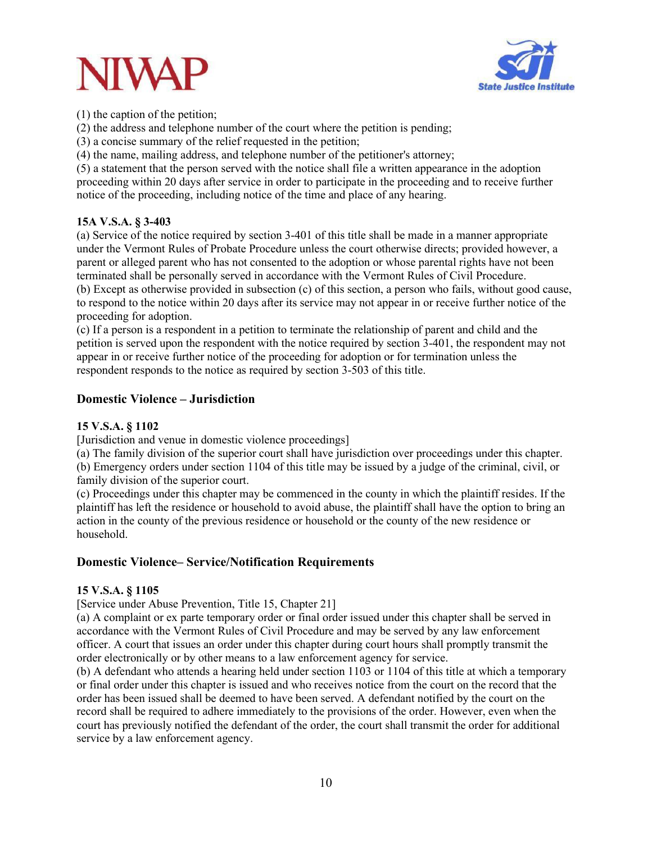



(1) the caption of the petition;

(2) the address and telephone number of the court where the petition is pending;

(3) a concise summary of the relief requested in the petition;

(4) the name, mailing address, and telephone number of the petitioner's attorney;

(5) a statement that the person served with the notice shall file a written appearance in the adoption proceeding within 20 days after service in order to participate in the proceeding and to receive further notice of the proceeding, including notice of the time and place of any hearing.

#### **15A V.S.A. § 3-403**

(a) Service of the notice required by section 3-401 of this title shall be made in a manner appropriate under the Vermont Rules of Probate Procedure unless the court otherwise directs; provided however, a parent or alleged parent who has not consented to the adoption or whose parental rights have not been terminated shall be personally served in accordance with the Vermont Rules of Civil Procedure. (b) Except as otherwise provided in subsection (c) of this section, a person who fails, without good cause, to respond to the notice within 20 days after its service may not appear in or receive further notice of the

proceeding for adoption.

(c) If a person is a respondent in a petition to terminate the relationship of parent and child and the petition is served upon the respondent with the notice required by section 3-401, the respondent may not appear in or receive further notice of the proceeding for adoption or for termination unless the respondent responds to the notice as required by section 3-503 of this title.

#### **Domestic Violence – Jurisdiction**

#### **15 V.S.A. § 1102**

[Jurisdiction and venue in domestic violence proceedings]

(a) The family division of the superior court shall have jurisdiction over proceedings under this chapter. (b) Emergency orders under section 1104 of this title may be issued by a judge of the criminal, civil, or family division of the superior court.

(c) Proceedings under this chapter may be commenced in the county in which the plaintiff resides. If the plaintiff has left the residence or household to avoid abuse, the plaintiff shall have the option to bring an action in the county of the previous residence or household or the county of the new residence or household.

#### **Domestic Violence– Service/Notification Requirements**

#### **15 V.S.A. § 1105**

[Service under Abuse Prevention, Title 15, Chapter 21]

(a) A complaint or ex parte temporary order or final order issued under this chapter shall be served in accordance with the Vermont Rules of Civil Procedure and may be served by any law enforcement officer. A court that issues an order under this chapter during court hours shall promptly transmit the order electronically or by other means to a law enforcement agency for service.

(b) A defendant who attends a hearing held under section 1103 or 1104 of this title at which a temporary or final order under this chapter is issued and who receives notice from the court on the record that the order has been issued shall be deemed to have been served. A defendant notified by the court on the record shall be required to adhere immediately to the provisions of the order. However, even when the court has previously notified the defendant of the order, the court shall transmit the order for additional service by a law enforcement agency.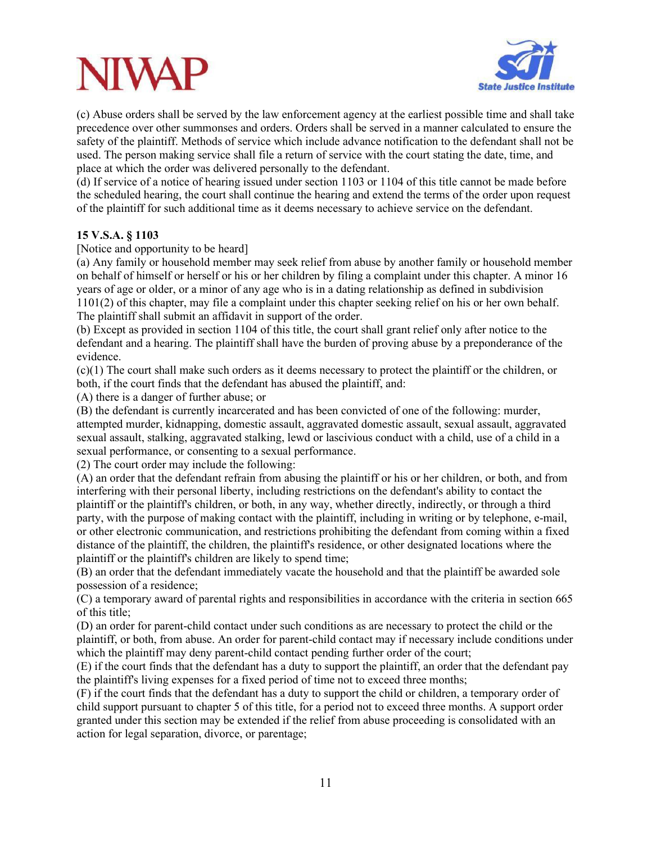## VIWA



(c) Abuse orders shall be served by the law enforcement agency at the earliest possible time and shall take precedence over other summonses and orders. Orders shall be served in a manner calculated to ensure the safety of the plaintiff. Methods of service which include advance notification to the defendant shall not be used. The person making service shall file a return of service with the court stating the date, time, and place at which the order was delivered personally to the defendant.

(d) If service of a notice of hearing issued under section 1103 or 1104 of this title cannot be made before the scheduled hearing, the court shall continue the hearing and extend the terms of the order upon request of the plaintiff for such additional time as it deems necessary to achieve service on the defendant.

#### **15 V.S.A. § 1103**

[Notice and opportunity to be heard]

(a) Any family or household member may seek relief from abuse by another family or household member on behalf of himself or herself or his or her children by filing a complaint under this chapter. A minor 16 years of age or older, or a minor of any age who is in a dating relationship as defined in subdivision 1101(2) of this chapter, may file a complaint under this chapter seeking relief on his or her own behalf. The plaintiff shall submit an affidavit in support of the order.

(b) Except as provided in section 1104 of this title, the court shall grant relief only after notice to the defendant and a hearing. The plaintiff shall have the burden of proving abuse by a preponderance of the evidence.

(c)(1) The court shall make such orders as it deems necessary to protect the plaintiff or the children, or both, if the court finds that the defendant has abused the plaintiff, and:

(A) there is a danger of further abuse; or

(B) the defendant is currently incarcerated and has been convicted of one of the following: murder, attempted murder, kidnapping, domestic assault, aggravated domestic assault, sexual assault, aggravated sexual assault, stalking, aggravated stalking, lewd or lascivious conduct with a child, use of a child in a sexual performance, or consenting to a sexual performance.

(2) The court order may include the following:

(A) an order that the defendant refrain from abusing the plaintiff or his or her children, or both, and from interfering with their personal liberty, including restrictions on the defendant's ability to contact the plaintiff or the plaintiff's children, or both, in any way, whether directly, indirectly, or through a third party, with the purpose of making contact with the plaintiff, including in writing or by telephone, e-mail, or other electronic communication, and restrictions prohibiting the defendant from coming within a fixed distance of the plaintiff, the children, the plaintiff's residence, or other designated locations where the plaintiff or the plaintiff's children are likely to spend time;

(B) an order that the defendant immediately vacate the household and that the plaintiff be awarded sole possession of a residence;

(C) a temporary award of parental rights and responsibilities in accordance with the criteria in section 665 of this title;

(D) an order for parent-child contact under such conditions as are necessary to protect the child or the plaintiff, or both, from abuse. An order for parent-child contact may if necessary include conditions under which the plaintiff may deny parent-child contact pending further order of the court;

(E) if the court finds that the defendant has a duty to support the plaintiff, an order that the defendant pay the plaintiff's living expenses for a fixed period of time not to exceed three months;

(F) if the court finds that the defendant has a duty to support the child or children, a temporary order of child support pursuant to chapter 5 of this title, for a period not to exceed three months. A support order granted under this section may be extended if the relief from abuse proceeding is consolidated with an action for legal separation, divorce, or parentage;